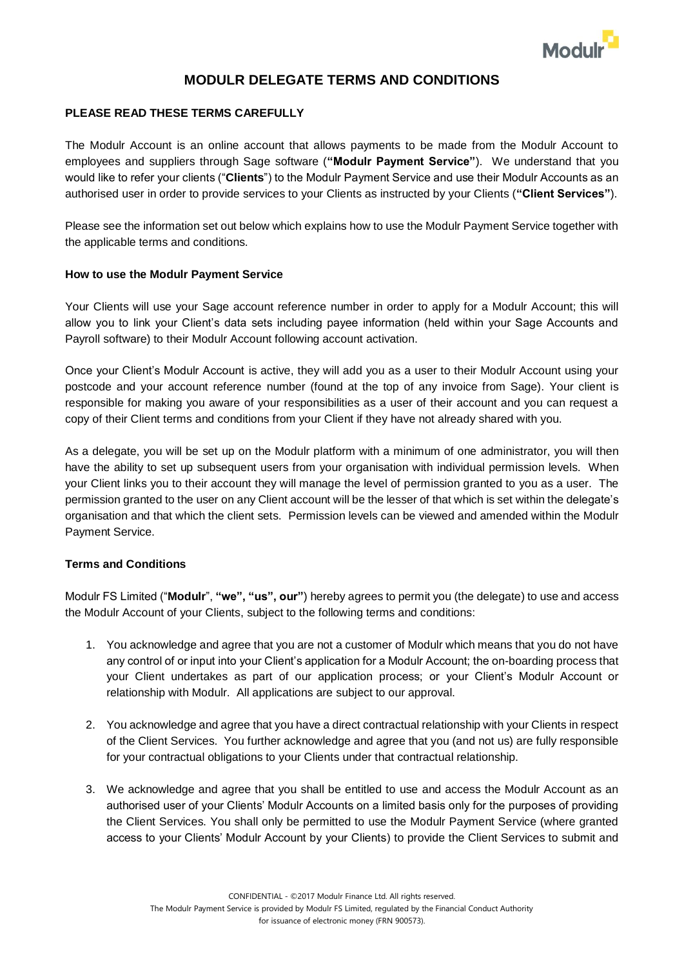

# **MODULR DELEGATE TERMS AND CONDITIONS**

## **PLEASE READ THESE TERMS CAREFULLY**

The Modulr Account is an online account that allows payments to be made from the Modulr Account to employees and suppliers through Sage software (**"Modulr Payment Service"**). We understand that you would like to refer your clients ("**Clients**") to the Modulr Payment Service and use their Modulr Accounts as an authorised user in order to provide services to your Clients as instructed by your Clients (**"Client Services"**).

Please see the information set out below which explains how to use the Modulr Payment Service together with the applicable terms and conditions.

#### **How to use the Modulr Payment Service**

Your Clients will use your Sage account reference number in order to apply for a Modulr Account; this will allow you to link your Client's data sets including payee information (held within your Sage Accounts and Payroll software) to their Modulr Account following account activation.

Once your Client's Modulr Account is active, they will add you as a user to their Modulr Account using your postcode and your account reference number (found at the top of any invoice from Sage). Your client is responsible for making you aware of your responsibilities as a user of their account and you can request a copy of their Client terms and conditions from your Client if they have not already shared with you.

As a delegate, you will be set up on the Modulr platform with a minimum of one administrator, you will then have the ability to set up subsequent users from your organisation with individual permission levels. When your Client links you to their account they will manage the level of permission granted to you as a user. The permission granted to the user on any Client account will be the lesser of that which is set within the delegate's organisation and that which the client sets. Permission levels can be viewed and amended within the Modulr Payment Service.

## **Terms and Conditions**

Modulr FS Limited ("**Modulr**", **"we", "us", our"**) hereby agrees to permit you (the delegate) to use and access the Modulr Account of your Clients, subject to the following terms and conditions:

- 1. You acknowledge and agree that you are not a customer of Modulr which means that you do not have any control of or input into your Client's application for a Modulr Account; the on-boarding process that your Client undertakes as part of our application process; or your Client's Modulr Account or relationship with Modulr. All applications are subject to our approval.
- 2. You acknowledge and agree that you have a direct contractual relationship with your Clients in respect of the Client Services. You further acknowledge and agree that you (and not us) are fully responsible for your contractual obligations to your Clients under that contractual relationship.
- 3. We acknowledge and agree that you shall be entitled to use and access the Modulr Account as an authorised user of your Clients' Modulr Accounts on a limited basis only for the purposes of providing the Client Services. You shall only be permitted to use the Modulr Payment Service (where granted access to your Clients' Modulr Account by your Clients) to provide the Client Services to submit and